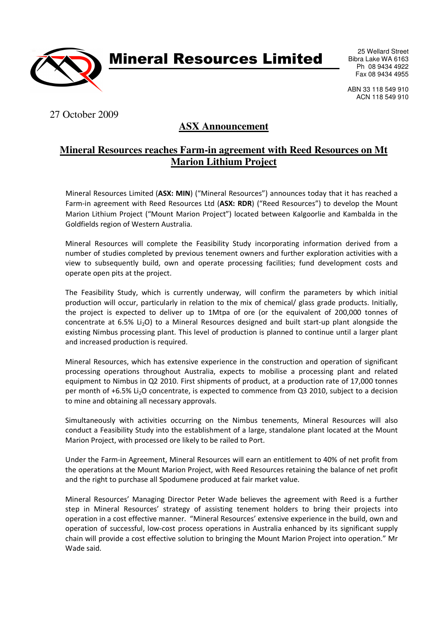

Mineral Resources Limited

25 Wellard Street Bibra Lake WA 6163 Ph 08 9434 4922 Fax 08 9434 4955

ABN 33 118 549 910 ACN 118 549 910

# 27 October 2009

# **ASX Announcement**

### **Mineral Resources reaches Farm-in agreement with Reed Resources on Mt Marion Lithium Project**

Mineral Resources Limited (ASX: MIN) ("Mineral Resources") announces today that it has reached a Farm-in agreement with Reed Resources Ltd (ASX: RDR) ("Reed Resources") to develop the Mount Marion Lithium Project ("Mount Marion Project") located between Kalgoorlie and Kambalda in the Goldfields region of Western Australia.

Mineral Resources will complete the Feasibility Study incorporating information derived from a number of studies completed by previous tenement owners and further exploration activities with a view to subsequently build, own and operate processing facilities; fund development costs and operate open pits at the project.

The Feasibility Study, which is currently underway, will confirm the parameters by which initial production will occur, particularly in relation to the mix of chemical/ glass grade products. Initially, the project is expected to deliver up to 1Mtpa of ore (or the equivalent of 200,000 tonnes of concentrate at 6.5% Li<sub>2</sub>O) to a Mineral Resources designed and built start-up plant alongside the existing Nimbus processing plant. This level of production is planned to continue until a larger plant and increased production is required.

Mineral Resources, which has extensive experience in the construction and operation of significant processing operations throughout Australia, expects to mobilise a processing plant and related equipment to Nimbus in Q2 2010. First shipments of product, at a production rate of 17,000 tonnes per month of +6.5% Li<sub>2</sub>O concentrate, is expected to commence from Q3 2010, subject to a decision to mine and obtaining all necessary approvals.

Simultaneously with activities occurring on the Nimbus tenements, Mineral Resources will also conduct a Feasibility Study into the establishment of a large, standalone plant located at the Mount Marion Project, with processed ore likely to be railed to Port.

Under the Farm-in Agreement, Mineral Resources will earn an entitlement to 40% of net profit from the operations at the Mount Marion Project, with Reed Resources retaining the balance of net profit and the right to purchase all Spodumene produced at fair market value.

Mineral Resources' Managing Director Peter Wade believes the agreement with Reed is a further step in Mineral Resources' strategy of assisting tenement holders to bring their projects into operation in a cost effective manner. "Mineral Resources' extensive experience in the build, own and operation of successful, low-cost process operations in Australia enhanced by its significant supply chain will provide a cost effective solution to bringing the Mount Marion Project into operation." Mr Wade said.